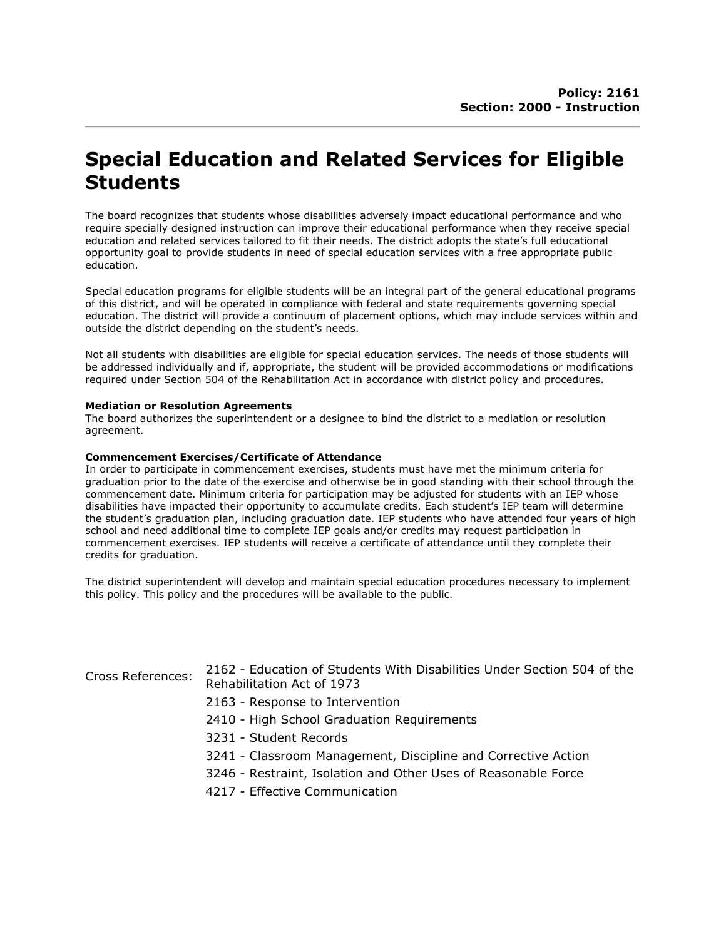## Special Education and Related Services for Eligible Students

The board recognizes that students whose disabilities adversely impact educational performance and who require specially designed instruction can improve their educational performance when they receive special education and related services tailored to fit their needs. The district adopts the state's full educational opportunity goal to provide students in need of special education services with a free appropriate public education.

Special education programs for eligible students will be an integral part of the general educational programs of this district, and will be operated in compliance with federal and state requirements governing special education. The district will provide a continuum of placement options, which may include services within and outside the district depending on the student's needs.

Not all students with disabilities are eligible for special education services. The needs of those students will be addressed individually and if, appropriate, the student will be provided accommodations or modifications required under Section 504 of the Rehabilitation Act in accordance with district policy and procedures.

## Mediation or Resolution Agreements

The board authorizes the superintendent or a designee to bind the district to a mediation or resolution agreement.

## Commencement Exercises/Certificate of Attendance

In order to participate in commencement exercises, students must have met the minimum criteria for graduation prior to the date of the exercise and otherwise be in good standing with their school through the commencement date. Minimum criteria for participation may be adjusted for students with an IEP whose disabilities have impacted their opportunity to accumulate credits. Each student's IEP team will determine the student's graduation plan, including graduation date. IEP students who have attended four years of high school and need additional time to complete IEP goals and/or credits may request participation in commencement exercises. IEP students will receive a certificate of attendance until they complete their credits for graduation.

The district superintendent will develop and maintain special education procedures necessary to implement this policy. This policy and the procedures will be available to the public.

| <b>Cross References:</b> | 2162 - Education of Students With Disabilities Under Section 504 of the<br>Rehabilitation Act of 1973 |
|--------------------------|-------------------------------------------------------------------------------------------------------|
|                          | 2163 - Response to Intervention                                                                       |
|                          | 2410 - High School Graduation Requirements                                                            |
|                          | 3231 - Student Records                                                                                |
|                          | 3241 - Classroom Management, Discipline and Corrective Action                                         |
|                          | 3246 - Restraint, Isolation and Other Uses of Reasonable Force                                        |
|                          | 4217 - Effective Communication                                                                        |
|                          |                                                                                                       |